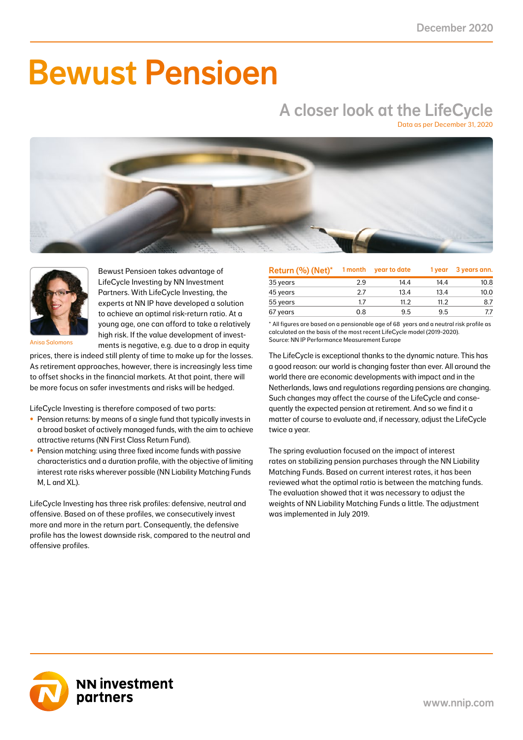# Bewust Pensioen

## A closer look at the LifeCycle

Data as per December 31, 2020





Bewust Pensioen takes advantage of LifeCycle Investing by NN Investment Partners. With LifeCycle Investing, the experts at NN IP have developed a solution to achieve an optimal risk-return ratio. At a young age, one can afford to take a relatively high risk. If the value development of investments is negative, e.g. due to a drop in equity

Anisa Salomons

prices, there is indeed still plenty of time to make up for the losses. As retirement approaches, however, there is increasingly less time to offset shocks in the financial markets. At that point, there will be more focus on safer investments and risks will be hedged.

LifeCycle Investing is therefore composed of two parts:

- Pension returns: by means of a single fund that typically invests in a broad basket of actively managed funds, with the aim to achieve attractive returns (NN First Class Return Fund).
- Pension matching: using three fixed income funds with passive characteristics and a duration profile, with the objective of limiting interest rate risks wherever possible (NN Liability Matching Funds M, L and XL).

LifeCycle Investing has three risk profiles: defensive, neutral and offensive. Based on of these profiles, we consecutively invest more and more in the return part. Consequently, the defensive profile has the lowest downside risk, compared to the neutral and offensive profiles.

| Return (%) (Net)* | 1 month | year to date | 1 year | 3 years ann. |
|-------------------|---------|--------------|--------|--------------|
| 35 years          | 2.9     | 14.4         | 14.4   | 10.8         |
| 45 years          | 27      | 13.4         | 13.4   | 10.0         |
| 55 years          | 1.7     | 11.2         | 11.2   | 8.7          |
| 67 years          | 0.8     | 9.5          | 9.5    |              |

\* All figures are based on a pensionable age of 68 years and a neutral risk profile as calculated on the basis of the most recent LifeCycle model (2019-2020). Source: NN IP Performance Measurement Europe

The LifeCycle is exceptional thanks to the dynamic nature. This has a good reason: our world is changing faster than ever. All around the world there are economic developments with impact and in the Netherlands, laws and regulations regarding pensions are changing. Such changes may affect the course of the LifeCycle and consequently the expected pension at retirement. And so we find it a matter of course to evaluate and, if necessary, adjust the LifeCycle twice a year.

The spring evaluation focused on the impact of interest rates on stabilizing pension purchases through the NN Liability Matching Funds. Based on current interest rates, it has been reviewed what the optimal ratio is between the matching funds. The evaluation showed that it was necessary to adjust the weights of NN Liability Matching Funds a little. The adjustment was implemented in July 2019.

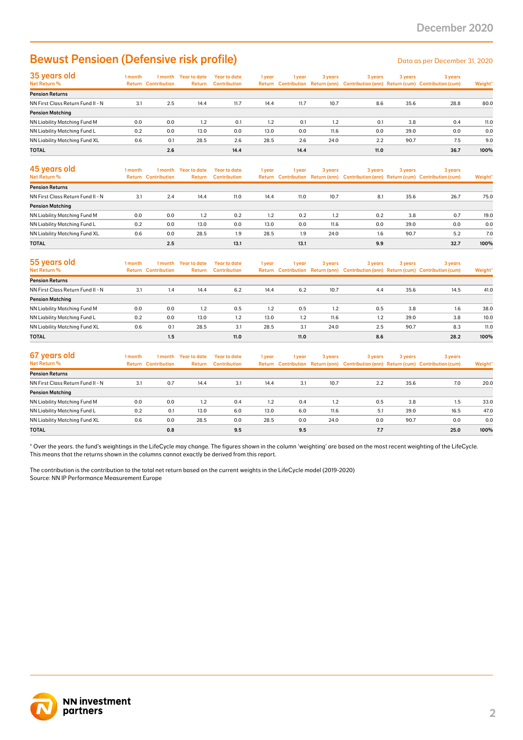### Bewust Pensioen (Defensive risk profile) Data as per December 31, 2020

| 35 years old                         | 1 month | l month                    | Year to date  | Year to date        | 1 year | i year | 3 years | 3 years | 3 years | 3 years                                                                             |         |
|--------------------------------------|---------|----------------------------|---------------|---------------------|--------|--------|---------|---------|---------|-------------------------------------------------------------------------------------|---------|
| Net Return %                         |         | <b>Return Contribution</b> | <b>Return</b> | <b>Contribution</b> |        |        |         |         |         | Return Contribution Return (ann) Contribution (ann) Return (cum) Contribution (cum) | Weight* |
| <b>Pension Returns</b>               |         |                            |               |                     |        |        |         |         |         |                                                                                     |         |
| NN First Class Return Fund II - N    | 3.1     | 2.5                        | 14.4          | 11.7                | 14.4   | 11.7   | 10.7    | 8.6     | 35.6    | 28.8                                                                                | 80.0    |
| <b>Pension Matching</b>              |         |                            |               |                     |        |        |         |         |         |                                                                                     |         |
| <b>NN Liability Matching Fund M</b>  | 0.0     | 0.0                        | 1.2           | 0.1                 | 1.2    | 0.1    | 1.2     | 0.1     | 3.8     | 0.4                                                                                 | 11.0    |
| NN Liability Matching Fund L         | 0.2     | 0.0                        | 13.0          | 0.0                 | 13.0   | 0.0    | 11.6    | 0.0     | 39.0    | 0.0                                                                                 | 0.0     |
| <b>NN Liability Matching Fund XL</b> | 0.6     | 0.1                        | 28.5          | 2.6                 | 28.5   | 2.6    | 24.0    | 2.2     | 90.7    | 7.5                                                                                 | 9.0     |
| <b>TOTAL</b>                         |         | 2.6                        |               | 14.4                |        | 14.4   |         | 11.0    |         | 36.7                                                                                | 100%    |

| 45 years old<br>Net Return %      | l month | 1 month<br><b>Return Contribution</b> | Year to date<br><b>Return</b> | Year to date<br><b>Contribution</b> | 1 year | 1 year | 3 years | 3 years | 3 years | 3 years<br>Return Contribution Return (ann) Contribution (ann) Return (cum) Contribution (cum) | Weight* |
|-----------------------------------|---------|---------------------------------------|-------------------------------|-------------------------------------|--------|--------|---------|---------|---------|------------------------------------------------------------------------------------------------|---------|
| <b>Pension Returns</b>            |         |                                       |                               |                                     |        |        |         |         |         |                                                                                                |         |
| NN First Class Return Fund II - N | 3.1     | 2.4                                   | 14.4                          | 11.0                                | 14.4   | 11.0   | 10.7    | 8.1     | 35.6    | 26.7                                                                                           | 75.0    |
| <b>Pension Matching</b>           |         |                                       |                               |                                     |        |        |         |         |         |                                                                                                |         |
| NN Liability Matching Fund M      | 0.0     | 0.0                                   | 1.2                           | 0.2                                 | 1.2    | 0.2    | 1.2     | 0.2     | 3.8     | 0.7                                                                                            | 19.0    |
| NN Liability Matching Fund L      | 0.2     | 0.0                                   | 13.0                          | 0.0                                 | 13.0   | 0.0    | 11.6    | 0.0     | 39.0    | 0.0                                                                                            | 0.0     |
| NN Liability Matching Fund XL     | 0.6     | 0.0                                   | 28.5                          | 1.9                                 | 28.5   | 1.9    | 24.0    | 1.6     | 90.7    | 5.2                                                                                            | 7.0     |
| <b>TOTAL</b>                      |         | 2.5                                   |                               | 13.1                                |        | 13.1   |         | 9.9     |         | 32.7                                                                                           | 100%    |

| 55 years old<br><b>Net Return %</b> | l month | 1 month<br><b>Return Contribution</b> | Year to date<br><b>Return</b> | <b>Year to date</b><br><b>Contribution</b> | 1 year | 1 vear | 3 years | 3 years | 3 years | 3 years<br>Return Contribution Return (ann) Contribution (ann) Return (cum) Contribution (cum) | Weight* |
|-------------------------------------|---------|---------------------------------------|-------------------------------|--------------------------------------------|--------|--------|---------|---------|---------|------------------------------------------------------------------------------------------------|---------|
| <b>Pension Returns</b>              |         |                                       |                               |                                            |        |        |         |         |         |                                                                                                |         |
| NN First Class Return Fund II - N   | 3.1     | 1.4                                   | 14.4                          | 6.2                                        | 14.4   | 6.2    | 10.7    | 4.4     | 35.6    | 14.5                                                                                           | 41.0    |
| <b>Pension Matching</b>             |         |                                       |                               |                                            |        |        |         |         |         |                                                                                                |         |
| NN Liability Matching Fund M        | 0.0     | 0.0                                   | 1.2                           | 0.5                                        | 1.2    | 0.5    | 1.2     | 0.5     | 3.8     | 1.6                                                                                            | 38.0    |
| NN Liability Matching Fund L        | 0.2     | 0.0                                   | 13.0                          | 1.2                                        | 13.0   | 1.2    | 11.6    | 1.2     | 39.0    | 3.8                                                                                            | 10.0    |
| NN Liability Matching Fund XL       | 0.6     | 0.1                                   | 28.5                          | 3.1                                        | 28.5   | 3.1    | 24.0    | 2.5     | 90.7    | 8.3                                                                                            | 11.0    |
| <b>TOTAL</b>                        |         | 1.5                                   |                               | 11.0                                       |        | 11.0   |         | 8.6     |         | 28.2                                                                                           | 100%    |

| 67 years old<br>Net Return %      | I month<br>Return | 1 month<br><b>Contribution</b> | Year to date<br>Return | Year to date<br><b>Contribution</b> | 1 year | 1 vear | 3 years | 3 years | 3 years | 3 years<br>Return Contribution Return (ann) Contribution (ann) Return (cum) Contribution (cum) | Weight* |
|-----------------------------------|-------------------|--------------------------------|------------------------|-------------------------------------|--------|--------|---------|---------|---------|------------------------------------------------------------------------------------------------|---------|
| <b>Pension Returns</b>            |                   |                                |                        |                                     |        |        |         |         |         |                                                                                                |         |
| NN First Class Return Fund II - N | 3.1               | 0.7                            | 14.4                   | 3.1                                 | 14.4   | 3.1    | 10.7    | 2.2     | 35.6    | 7.0                                                                                            | 20.0    |
| <b>Pension Matching</b>           |                   |                                |                        |                                     |        |        |         |         |         |                                                                                                |         |
| NN Liability Matching Fund M      | 0.0               | 0.0                            | 1.2                    | 0.4                                 | 1.2    | 0.4    | 1.2     | 0.5     | 3.8     | 1.5                                                                                            | 33.0    |
| NN Liability Matching Fund L      | 0.2               | 0.1                            | 13.0                   | 6.0                                 | 13.0   | 6.0    | 11.6    | 5.1     | 39.0    | 16.5                                                                                           | 47.0    |
| NN Liability Matching Fund XL     | 0.6               | 0.0                            | 28.5                   | 0.0                                 | 28.5   | 0.0    | 24.0    | 0.0     | 90.7    | 0.0                                                                                            | 0.0     |
| <b>TOTAL</b>                      |                   | 0.8                            |                        | 9.5                                 |        | 9.5    |         | 7.7     |         | 25.0                                                                                           | 100%    |

\* Over the years. the fund's weightings in the LifeCycle may change. The figures shown in the column 'weighting' are based on the most recent weighting of the LifeCycle. This means that the returns shown in the columns cannot exactly be derived from this report.

The contribution is the contribution to the total net return based on the current weights in the LifeCycle model (2019-2020) Source: NN IP Performance Measurement Europe

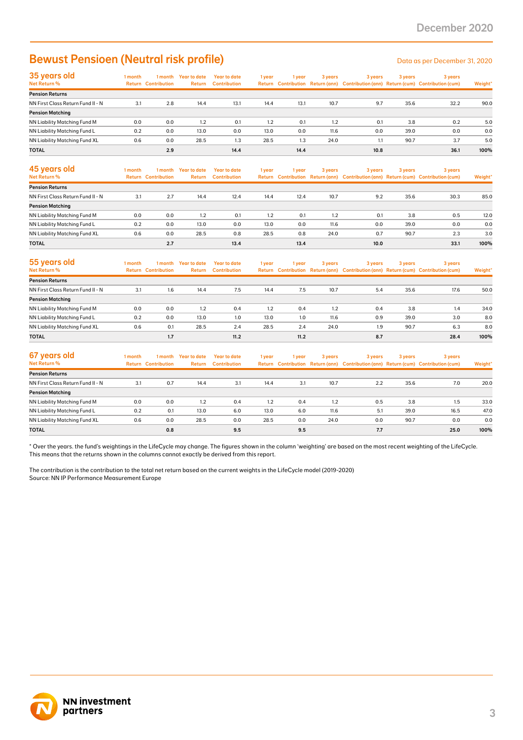### Bewust Pensioen (Neutral risk profile) Data as per December 31, 2020

| 35 years old                      | 1 month | 1 month                    | Year to date  | <b>Year to date</b> | 1 year | l vear | 3 years | 3 years | 3 years | 3 years                                                                             |         |
|-----------------------------------|---------|----------------------------|---------------|---------------------|--------|--------|---------|---------|---------|-------------------------------------------------------------------------------------|---------|
| Net Return %                      |         | <b>Return Contribution</b> | <b>Return</b> | <b>Contribution</b> |        |        |         |         |         | Return Contribution Return (ann) Contribution (ann) Return (cum) Contribution (cum) | Weight* |
| <b>Pension Returns</b>            |         |                            |               |                     |        |        |         |         |         |                                                                                     |         |
| NN First Class Return Fund II - N | 3.1     | 2.8                        | 14.4          | 13.1                | 14.4   | 13.1   | 10.7    | 9.7     | 35.6    | 32.2                                                                                | 90.0    |
| <b>Pension Matching</b>           |         |                            |               |                     |        |        |         |         |         |                                                                                     |         |
| NN Liability Matching Fund M      | 0.0     | 0.0                        | 1.2           | 0.1                 | 1.2    | 0.1    | 1.2     | 0.1     | 3.8     | 0.2                                                                                 | 5.0     |
| NN Liability Matching Fund L      | 0.2     | 0.0                        | 13.0          | 0.0                 | 13.0   | 0.0    | 11.6    | 0.0     | 39.0    | 0.0                                                                                 | 0.0     |
| NN Liability Matching Fund XL     | 0.6     | 0.0                        | 28.5          | 1.3                 | 28.5   | 1.3    | 24.0    | 1.1     | 90.7    | 3.7                                                                                 | 5.0     |
| <b>TOTAL</b>                      |         | 2.9                        |               | 14.4                |        | 14.4   |         | 10.8    |         | 36.1                                                                                | 100%    |

| 45 years old<br>Net Return %      | 1 month | 1 month<br><b>Return Contribution</b> | Year to date<br><b>Return</b> | Year to date<br><b>Contribution</b> | 1 year | 1 year | 3 years | 3 years | 3 years | 3 years<br>Return Contribution Return (ann) Contribution (ann) Return (cum) Contribution (cum) | Weight* |
|-----------------------------------|---------|---------------------------------------|-------------------------------|-------------------------------------|--------|--------|---------|---------|---------|------------------------------------------------------------------------------------------------|---------|
| <b>Pension Returns</b>            |         |                                       |                               |                                     |        |        |         |         |         |                                                                                                |         |
| NN First Class Return Fund II - N | 3.1     | 2.7                                   | 14.4                          | 12.4                                | 14.4   | 12.4   | 10.7    | 9.2     | 35.6    | 30.3                                                                                           | 85.0    |
| <b>Pension Matching</b>           |         |                                       |                               |                                     |        |        |         |         |         |                                                                                                |         |
| NN Liability Matching Fund M      | 0.0     | 0.0                                   | 1.2                           | 0.1                                 | 1.2    | 0.1    | 1.2     | 0.1     | 3.8     | 0.5                                                                                            | 12.0    |
| NN Liability Matching Fund L      | 0.2     | 0.0                                   | 13.0                          | 0.0                                 | 13.0   | 0.0    | 11.6    | 0.0     | 39.0    | 0.0                                                                                            | 0.0     |
| NN Liability Matching Fund XL     | 0.6     | 0.0                                   | 28.5                          | 0.8                                 | 28.5   | 0.8    | 24.0    | 0.7     | 90.7    | 2.3                                                                                            | 3.0     |
| <b>TOTAL</b>                      |         | 2.7                                   |                               | 13.4                                |        | 13.4   |         | 10.0    |         | 33.1                                                                                           | 100%    |

| 55 years old<br>Net Return %      | l month | 1 month<br><b>Return Contribution</b> | <b>Year to date</b><br>Return | Year to date<br><b>Contribution</b> | 1 year | 1 year | 3 years | 3 years | 3 years | 3 years<br>Return Contribution Return (ann) Contribution (ann) Return (cum) Contribution (cum) | Weight* |
|-----------------------------------|---------|---------------------------------------|-------------------------------|-------------------------------------|--------|--------|---------|---------|---------|------------------------------------------------------------------------------------------------|---------|
| <b>Pension Returns</b>            |         |                                       |                               |                                     |        |        |         |         |         |                                                                                                |         |
| NN First Class Return Fund II - N | 3.1     | 1.6                                   | 14.4                          | 7.5                                 | 14.4   | 7.5    | 10.7    | 5.4     | 35.6    | 17.6                                                                                           | 50.0    |
| <b>Pension Matching</b>           |         |                                       |                               |                                     |        |        |         |         |         |                                                                                                |         |
| NN Liability Matching Fund M      | 0.0     | 0.0                                   | 1.2                           | 0.4                                 | 1.2    | 0.4    | 1.2     | 0.4     | 3.8     | 1.4                                                                                            | 34.0    |
| NN Liability Matching Fund L      | 0.2     | 0.0                                   | 13.0                          | 1.0                                 | 13.0   | 1.0    | 11.6    | 0.9     | 39.0    | 3.0                                                                                            | 8.0     |
| NN Liability Matching Fund XL     | 0.6     | 0.1                                   | 28.5                          | 2.4                                 | 28.5   | 2.4    | 24.0    | 1.9     | 90.7    | 6.3                                                                                            | 8.0     |
| <b>TOTAL</b>                      |         | 1.7                                   |                               | 11.2                                |        | 11.2   |         | 8.7     |         | 28.4                                                                                           | 100%    |

| 67 years old<br>Net Return %      | 1 month | 1 month<br><b>Return Contribution</b> | Year to date<br>Return | Year to date<br><b>Contribution</b> | 1 year | 1 year | 3 years | 3 years | 3 years | 3 years<br>Return Contribution Return (ann) Contribution (ann) Return (cum) Contribution (cum) | Weight* |
|-----------------------------------|---------|---------------------------------------|------------------------|-------------------------------------|--------|--------|---------|---------|---------|------------------------------------------------------------------------------------------------|---------|
| <b>Pension Returns</b>            |         |                                       |                        |                                     |        |        |         |         |         |                                                                                                |         |
| NN First Class Return Fund II - N | 3.1     | 0.7                                   | 14.4                   | 3.1                                 | 14.4   | 3.1    | 10.7    | 2.2     | 35.6    | 7.0                                                                                            | 20.0    |
| <b>Pension Matching</b>           |         |                                       |                        |                                     |        |        |         |         |         |                                                                                                |         |
| NN Liability Matching Fund M      | 0.0     | 0.0                                   | 1.2                    | 0.4                                 | 1.2    | 0.4    | 1.2     | 0.5     | 3.8     | 1.5                                                                                            | 33.0    |
| NN Liability Matching Fund L      | 0.2     | 0.1                                   | 13.0                   | 6.0                                 | 13.0   | 6.0    | 11.6    | 5.1     | 39.0    | 16.5                                                                                           | 47.0    |
| NN Liability Matching Fund XL     | 0.6     | 0.0                                   | 28.5                   | 0.0                                 | 28.5   | 0.0    | 24.0    | 0.0     | 90.7    | 0.0                                                                                            | 0.0     |
| <b>TOTAL</b>                      |         | 0.8                                   |                        | 9.5                                 |        | 9.5    |         | 7.7     |         | 25.0                                                                                           | 100%    |

\* Over the years. the fund's weightings in the LifeCycle may change. The figures shown in the column 'weighting' are based on the most recent weighting of the LifeCycle. This means that the returns shown in the columns cannot exactly be derived from this report.

The contribution is the contribution to the total net return based on the current weights in the LifeCycle model (2019-2020) Source: NN IP Performance Measurement Europe